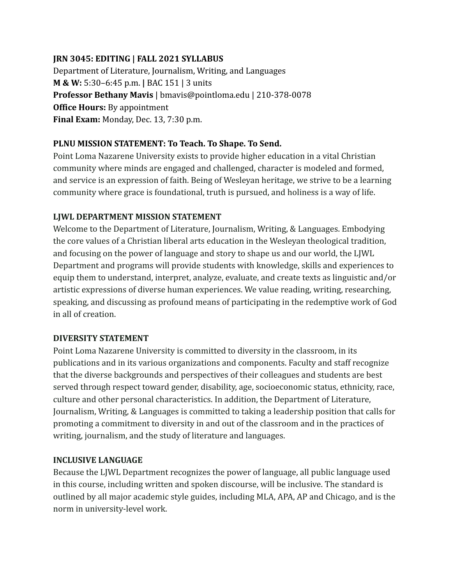### **JRN 3045: EDITING | FALL 2021 SYLLABUS**

Department of Literature, Journalism, Writing, and Languages **M & W:** 5:30–6:45 p.m. **|** BAC 151 | 3 units **Professor Bethany Mavis** | bmavis@pointloma.edu | 210-378-0078 **Office Hours:** By appointment **Final Exam:** Monday, Dec. 13, 7:30 p.m.

#### **PLNU MISSION STATEMENT: To Teach. To Shape. To Send.**

Point Loma Nazarene University exists to provide higher education in a vital Christian community where minds are engaged and challenged, character is modeled and formed, and service is an expression of faith. Being of Wesleyan heritage, we strive to be a learning community where grace is foundational, truth is pursued, and holiness is a way of life.

#### **LJWL DEPARTMENT MISSION STATEMENT**

Welcome to the Department of Literature, Journalism, Writing, & Languages. Embodying the core values of a Christian liberal arts education in the Wesleyan theological tradition, and focusing on the power of language and story to shape us and our world, the LJWL Department and programs will provide students with knowledge, skills and experiences to equip them to understand, interpret, analyze, evaluate, and create texts as linguistic and/or artistic expressions of diverse human experiences. We value reading, writing, researching, speaking, and discussing as profound means of participating in the redemptive work of God in all of creation.

#### **DIVERSITY STATEMENT**

Point Loma Nazarene University is committed to diversity in the classroom, in its publications and in its various organizations and components. Faculty and staff recognize that the diverse backgrounds and perspectives of their colleagues and students are best served through respect toward gender, disability, age, socioeconomic status, ethnicity, race, culture and other personal characteristics. In addition, the Department of Literature, Journalism, Writing, & Languages is committed to taking a leadership position that calls for promoting a commitment to diversity in and out of the classroom and in the practices of writing, journalism, and the study of literature and languages.

#### **INCLUSIVE LANGUAGE**

Because the LJWL Department recognizes the power of language, all public language used in this course, including written and spoken discourse, will be inclusive. The standard is outlined by all major academic style guides, including MLA, APA, AP and Chicago, and is the norm in university-level work.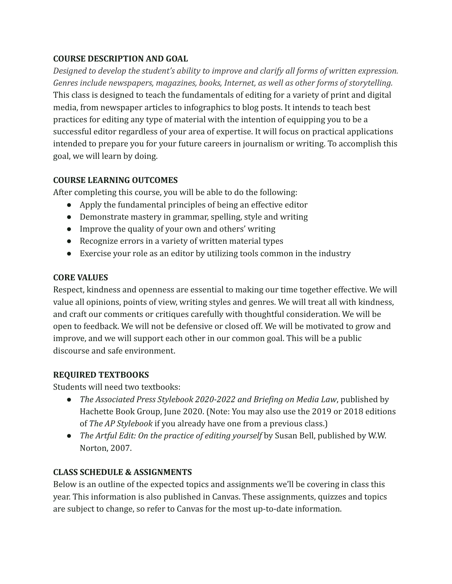## **COURSE DESCRIPTION AND GOAL**

*Designed to develop the student's ability to improve and clarify all forms of written expression. Genres include newspapers, magazines, books, Internet, as well as other forms of storytelling.* This class is designed to teach the fundamentals of editing for a variety of print and digital media, from newspaper articles to infographics to blog posts. It intends to teach best practices for editing any type of material with the intention of equipping you to be a successful editor regardless of your area of expertise. It will focus on practical applications intended to prepare you for your future careers in journalism or writing. To accomplish this goal, we will learn by doing.

# **COURSE LEARNING OUTCOMES**

After completing this course, you will be able to do the following:

- Apply the fundamental principles of being an effective editor
- Demonstrate mastery in grammar, spelling, style and writing
- Improve the quality of your own and others' writing
- Recognize errors in a variety of written material types
- Exercise your role as an editor by utilizing tools common in the industry

## **CORE VALUES**

Respect, kindness and openness are essential to making our time together effective. We will value all opinions, points of view, writing styles and genres. We will treat all with kindness, and craft our comments or critiques carefully with thoughtful consideration. We will be open to feedback. We will not be defensive or closed off. We will be motivated to grow and improve, and we will support each other in our common goal. This will be a public discourse and safe environment.

# **REQUIRED TEXTBOOKS**

Students will need two textbooks:

- *The Associated Press Stylebook 2020-2022 and Briefing on Media Law*, published by Hachette Book Group, June 2020. (Note: You may also use the 2019 or 2018 editions of *The AP Stylebook* if you already have one from a previous class.)
- *● The Artful Edit: On the practice of editing yourself* by Susan Bell, published by W.W. Norton, 2007.

# **CLASS SCHEDULE & ASSIGNMENTS**

Below is an outline of the expected topics and assignments we'll be covering in class this year. This information is also published in Canvas. These assignments, quizzes and topics are subject to change, so refer to Canvas for the most up-to-date information.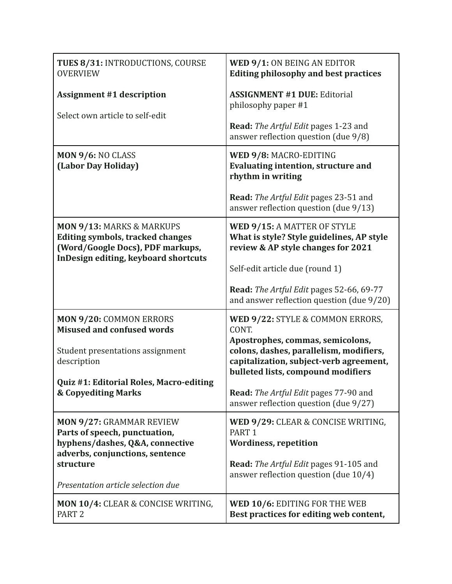| TUES 8/31: INTRODUCTIONS, COURSE<br><b>OVERVIEW</b>                                                                 | WED 9/1: ON BEING AN EDITOR<br><b>Editing philosophy and best practices</b>                                                                                  |
|---------------------------------------------------------------------------------------------------------------------|--------------------------------------------------------------------------------------------------------------------------------------------------------------|
| <b>Assignment #1 description</b><br>Select own article to self-edit                                                 | <b>ASSIGNMENT #1 DUE: Editorial</b><br>philosophy paper #1                                                                                                   |
|                                                                                                                     | <b>Read:</b> The Artful Edit pages 1-23 and<br>answer reflection question (due 9/8)                                                                          |
| MON 9/6: NO CLASS<br>(Labor Day Holiday)                                                                            | WED 9/8: MACRO-EDITING<br><b>Evaluating intention, structure and</b><br>rhythm in writing                                                                    |
|                                                                                                                     | <b>Read:</b> The Artful Edit pages 23-51 and<br>answer reflection question (due 9/13)                                                                        |
| <b>MON 9/13: MARKS &amp; MARKUPS</b><br><b>Editing symbols, tracked changes</b><br>(Word/Google Docs), PDF markups, | WED 9/15: A MATTER OF STYLE<br>What is style? Style guidelines, AP style<br>review & AP style changes for 2021                                               |
| InDesign editing, keyboard shortcuts                                                                                | Self-edit article due (round 1)                                                                                                                              |
|                                                                                                                     | <b>Read:</b> The Artful Edit pages 52-66, 69-77<br>and answer reflection question (due 9/20)                                                                 |
| <b>MON 9/20: COMMON ERRORS</b><br><b>Misused and confused words</b>                                                 | WED 9/22: STYLE & COMMON ERRORS,<br>CONT.                                                                                                                    |
| Student presentations assignment<br>description                                                                     | Apostrophes, commas, semicolons,<br>colons, dashes, parallelism, modifiers,<br>capitalization, subject-verb agreement,<br>bulleted lists, compound modifiers |
| Quiz #1: Editorial Roles, Macro-editing                                                                             |                                                                                                                                                              |
| <b>&amp; Copyediting Marks</b>                                                                                      | <b>Read:</b> The Artful Edit pages 77-90 and<br>answer reflection question (due 9/27)                                                                        |
| <b>MON 9/27: GRAMMAR REVIEW</b><br>Parts of speech, punctuation,                                                    | WED 9/29: CLEAR & CONCISE WRITING,<br>PART <sub>1</sub>                                                                                                      |
| hyphens/dashes, Q&A, connective<br>adverbs, conjunctions, sentence                                                  | <b>Wordiness, repetition</b>                                                                                                                                 |
| structure                                                                                                           | <b>Read:</b> The Artful Edit pages 91-105 and<br>answer reflection question (due 10/4)                                                                       |
| Presentation article selection due                                                                                  |                                                                                                                                                              |
| MON 10/4: CLEAR & CONCISE WRITING,<br>PART <sub>2</sub>                                                             | WED 10/6: EDITING FOR THE WEB<br>Best practices for editing web content,                                                                                     |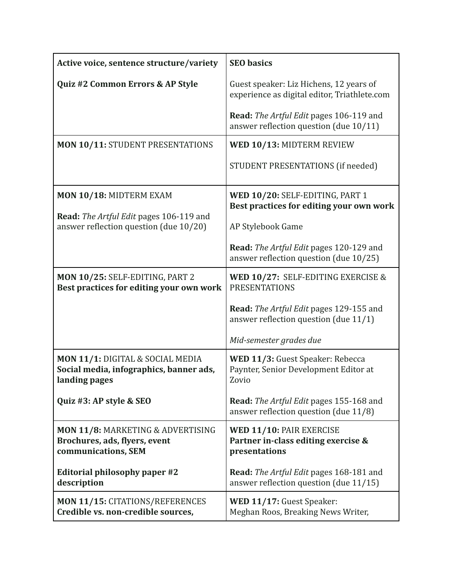| Active voice, sentence structure/variety                                                     | <b>SEO</b> basics                                                                       |
|----------------------------------------------------------------------------------------------|-----------------------------------------------------------------------------------------|
| Quiz #2 Common Errors & AP Style                                                             | Guest speaker: Liz Hichens, 12 years of<br>experience as digital editor, Triathlete.com |
|                                                                                              | Read: The Artful Edit pages 106-119 and<br>answer reflection question (due 10/11)       |
| <b>MON 10/11: STUDENT PRESENTATIONS</b>                                                      | WED 10/13: MIDTERM REVIEW                                                               |
|                                                                                              | STUDENT PRESENTATIONS (if needed)                                                       |
| MON 10/18: MIDTERM EXAM                                                                      | WED 10/20: SELF-EDITING, PART 1<br>Best practices for editing your own work             |
| Read: The Artful Edit pages 106-119 and<br>answer reflection question (due 10/20)            | AP Stylebook Game                                                                       |
|                                                                                              | Read: The Artful Edit pages 120-129 and<br>answer reflection question (due 10/25)       |
| MON 10/25: SELF-EDITING, PART 2<br>Best practices for editing your own work                  | WED 10/27: SELF-EDITING EXERCISE &<br><b>PRESENTATIONS</b>                              |
|                                                                                              | Read: The Artful Edit pages 129-155 and<br>answer reflection question (due $11/1$ )     |
|                                                                                              | Mid-semester grades due                                                                 |
| MON 11/1: DIGITAL & SOCIAL MEDIA<br>Social media, infographics, banner ads,<br>landing pages | WED 11/3: Guest Speaker: Rebecca<br>Paynter, Senior Development Editor at<br>Zovio      |
| Quiz #3: AP style & SEO                                                                      | <b>Read:</b> The Artful Edit pages 155-168 and<br>answer reflection question (due 11/8) |
| MON 11/8: MARKETING & ADVERTISING<br>Brochures, ads, flyers, event<br>communications, SEM    | WED 11/10: PAIR EXERCISE<br>Partner in-class editing exercise &<br>presentations        |
| Editorial philosophy paper #2<br>description                                                 | Read: The Artful Edit pages 168-181 and<br>answer reflection question (due 11/15)       |
| <b>MON 11/15: CITATIONS/REFERENCES</b><br>Credible vs. non-credible sources,                 | WED 11/17: Guest Speaker:<br>Meghan Roos, Breaking News Writer,                         |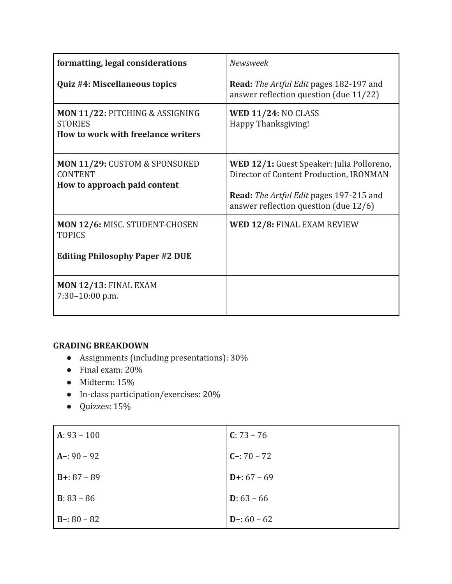| formatting, legal considerations                                                        | Newsweek                                                                                                                                                                        |
|-----------------------------------------------------------------------------------------|---------------------------------------------------------------------------------------------------------------------------------------------------------------------------------|
| Quiz #4: Miscellaneous topics                                                           | <b>Read:</b> The Artful Edit pages 182-197 and<br>answer reflection question (due 11/22)                                                                                        |
| MON 11/22: PITCHING & ASSIGNING<br><b>STORIES</b><br>How to work with freelance writers | <b>WED 11/24: NO CLASS</b><br>Happy Thanksgiving!                                                                                                                               |
| MON 11/29: CUSTOM & SPONSORED<br><b>CONTENT</b><br>How to approach paid content         | WED 12/1: Guest Speaker: Julia Polloreno,<br>Director of Content Production, IRONMAN<br><b>Read:</b> The Artful Edit pages 197-215 and<br>answer reflection question (due 12/6) |
| MON 12/6: MISC. STUDENT-CHOSEN<br><b>TOPICS</b>                                         | WED 12/8: FINAL EXAM REVIEW                                                                                                                                                     |
| <b>Editing Philosophy Paper #2 DUE</b>                                                  |                                                                                                                                                                                 |
| <b>MON 12/13: FINAL EXAM</b><br>7:30-10:00 p.m.                                         |                                                                                                                                                                                 |

## **GRADING BREAKDOWN**

- Assignments (including presentations): 30%
- Final exam: 20%
- Midterm: 15%
- In-class participation/exercises: 20%
- Quizzes: 15%

| $A: 93 - 100$        | $C: 73 - 76$  |
|----------------------|---------------|
| $A - 90 - 92$        | $C - 70 - 72$ |
| $B+: 87 - 89$        | $D+: 67 - 69$ |
| <b>B</b> : $83 - 86$ | $D: 63 - 66$  |
| $B - 80 - 82$        | $D-: 60 - 62$ |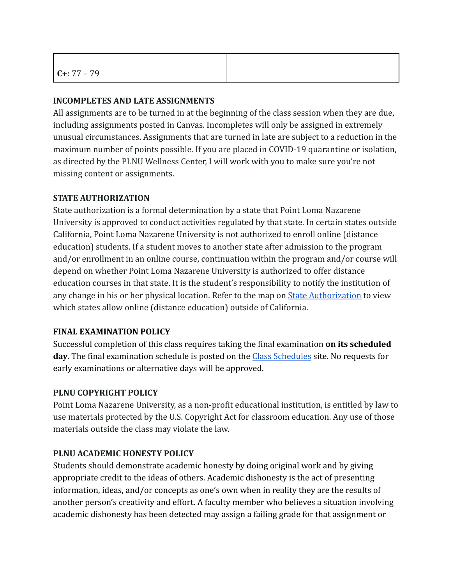## **INCOMPLETES AND LATE ASSIGNMENTS**

All assignments are to be turned in at the beginning of the class session when they are due, including assignments posted in Canvas. Incompletes will only be assigned in extremely unusual circumstances. Assignments that are turned in late are subject to a reduction in the maximum number of points possible. If you are placed in COVID-19 quarantine or isolation, as directed by the PLNU Wellness Center, I will work with you to make sure you're not missing content or assignments.

## **STATE AUTHORIZATION**

State authorization is a formal determination by a state that Point Loma Nazarene University is approved to conduct activities regulated by that state. In certain states outside California, Point Loma Nazarene University is not authorized to enroll online (distance education) students. If a student moves to another state after admission to the program and/or enrollment in an online course, continuation within the program and/or course will depend on whether Point Loma Nazarene University is authorized to offer distance education courses in that state. It is the student's responsibility to notify the institution of any change in his or her physical location. Refer to the map on [State Authorization](https://www.pointloma.edu/offices/office-institutional-effectiveness-research/disclosures) to view which states allow online (distance education) outside of California.

# **FINAL EXAMINATION POLICY**

Successful completion of this class requires taking the final examination **on its scheduled** day. The final examination schedule is posted on the **[Class Schedules](http://www.pointloma.edu/experience/academics/class-schedules)** site. No requests for early examinations or alternative days will be approved.

# **PLNU COPYRIGHT POLICY**

Point Loma Nazarene University, as a non-profit educational institution, is entitled by law to use materials protected by the U.S. Copyright Act for classroom education. Any use of those materials outside the class may violate the law.

# **PLNU ACADEMIC HONESTY POLICY**

Students should demonstrate academic honesty by doing original work and by giving appropriate credit to the ideas of others. Academic dishonesty is the act of presenting information, ideas, and/or concepts as one's own when in reality they are the results of another person's creativity and effort. A faculty member who believes a situation involving academic dishonesty has been detected may assign a failing grade for that assignment or